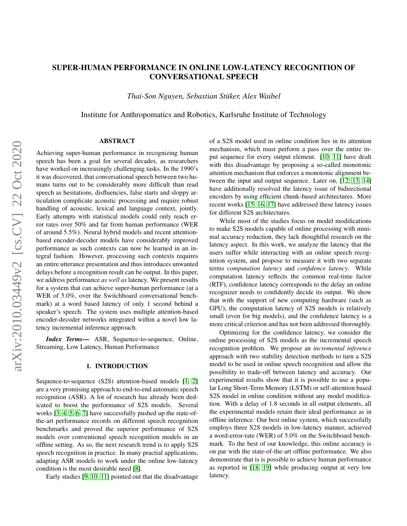# SUPER-HUMAN PERFORMANCE IN ONLINE LOW-LATENCY RECOGNITION OF CONVERSATIONAL SPEECH

*Thai-Son Nguyen, Sebastian Stuker, Alex Waibel ¨*

Institute for Anthropomatics and Robotics, Karlsruhe Institute of Technology

### ABSTRACT

Achieving super-human performance in recognizing human speech has been a goal for several decades, as researchers have worked on increasingly challenging tasks. In the 1990's it was discovered, that conversational speech between two humans turns out to be considerably more difficult than read speech as hesitations, disfluencies, false starts and sloppy articulation complicate acoustic processing and require robust handling of acoustic, lexical and language context, jointly. Early attempts with statistical models could only reach error rates over 50% and far from human performance (WER of around 5.5%). Neural hybrid models and recent attentionbased encoder-decoder models have considerably improved performance as such contexts can now be learned in an integral fashion. However, processing such contexts requires an entire utterance presentation and thus introduces unwanted delays before a recognition result can be output. In this paper, we address performance *as well as* latency. We present results for a system that can achieve super-human performance (at a WER of 5.0%, over the Switchboard conversational benchmark) at a word based latency of only 1 second behind a speaker's speech. The system uses multiple attention-based encoder-decoder networks integrated within a novel low latency incremental inference approach.

*Index Terms*— ASR, Sequence-to-sequence, Online, Streaming, Low Latency, Human Performance

#### 1. INTRODUCTION

Sequence-to-sequence (S2S) attention-based models [\[1,](#page-4-0) [2\]](#page-4-1) are a very promising approach to end-to-end automatic speech recognition (ASR). A lot of research has already been dedicated to boost the performance of S2S models. Several works [\[3,](#page-4-2) [4,](#page-4-3) [5,](#page-4-4) [6,](#page-4-5) [7\]](#page-4-6) have successfully pushed up the state-ofthe-art performance records on different speech recognition benchmarks and proved the superior performance of S2S models over conventional speech recognition models in an offline setting. As so, the next research trend is to apply S2S speech recognition in practice. In many practial applications, adapting ASR models to work under the online low-latency condition is the most desirable need [\[8\]](#page-4-7).

Early studies [\[9,](#page-4-8) [10,](#page-4-9) [11\]](#page-4-10) pointed out that the disadvantage

of a S2S model used in online condition lies in its attention mechanism, which must perform a pass over the entire input sequence for every output element. [\[10,](#page-4-9) [11\]](#page-4-10) have dealt with this disadvantage by proposing a so-called monotonic attention mechanism that enforces a monotonic alignment between the input and output sequence. Later on, [\[12,](#page-4-11) [13,](#page-4-12) [14\]](#page-4-13) have additionally resolved the latency issue of bidirectional encoders by using efficient chunk-based architectures. More recent works [\[15,](#page-4-14) [16,](#page-4-15) [17\]](#page-4-16) have addressed these latency issues for different S2S architectures.

While most of the studies focus on model modifications to make S2S models capable of online processing with minimal accuracy reduction, they lack thoughtful research on the latency aspect. In this work, we analyze the latency that the users suffer while interacting with an online speech recognition system, and propose to measure it with two separate terms *computation latency* and *confidence latency*. While computation latency reflects the common real-time factor (RTF), confidence latency corresponds to the delay an online recognizer needs to confidently decide its output. We show that with the support of new computing hardware (such as GPU), the computation latency of S2S models is relatively small (even for big models), and the confidence latency is a more critical criterion and has not been addressed thoroughly.

Optimizing for the confidence latency, we consider the online processing of S2S models as the incremental speech recognition problem. We propose an *incremental inference* approach with two stability detection methods to turn a S2S model to be used in online speech recognition and allow the possibility to trade-off between latency and accuracy. Our experimental results show that it is possible to use a popular Long Short-Term Memory (LSTM) or self-attention based S2S model in online condition without any model modification. With a delay of 1.8 seconds in all output elements, all the experimental models retain their ideal performance as in offline inference. Our best online system, which successfully employs three S2S models in low-latency manner, achieved a word-error-rate (WER) of 5.0% on the Switchboard benchmark. To the best of our knowledge, this online accuracy is on par with the state-of-the-art offline performance. We also demonstrate that is is possible to achieve human performance as reported in [\[18,](#page-4-17) [19\]](#page-4-18) while producing output at very low latency.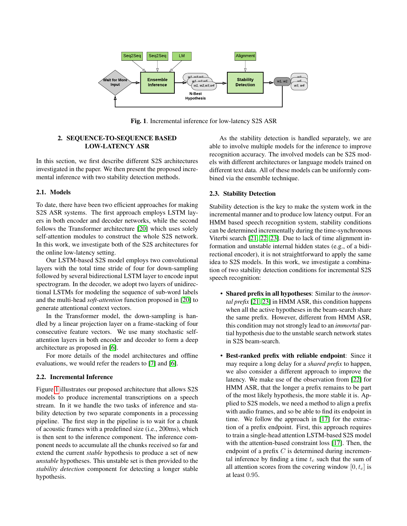

<span id="page-1-0"></span>Fig. 1. Incremental inference for low-latency S2S ASR

# 2. SEQUENCE-TO-SEQUENCE BASED LOW-LATENCY ASR

In this section, we first describe different S2S architectures investigated in the paper. We then present the proposed incremental inference with two stability detection methods.

# 2.1. Models

To date, there have been two efficient approaches for making S2S ASR systems. The first approach employs LSTM layers in both encoder and decoder networks, while the second follows the Transformer architecture [\[20\]](#page-4-19) which uses solely self-attention modules to construct the whole S2S network. In this work, we investigate both of the S2S architectures for the online low-latency setting.

Our LSTM-based S2S model employs two convolutional layers with the total time stride of four for down-sampling followed by several bidirectional LSTM layer to encode input spectrogram. In the decoder, we adopt two layers of unidirectional LSTMs for modeling the sequence of sub-word labels and the multi-head *soft-attention* function proposed in [\[20\]](#page-4-19) to generate attentional context vectors.

In the Transformer model, the down-sampling is handled by a linear projection layer on a frame-stacking of four consecutive feature vectors. We use many stochastic selfattention layers in both encoder and decoder to form a deep architecture as proposed in [\[6\]](#page-4-5).

For more details of the model architectures and offline evaluations, we would refer the readers to [\[7\]](#page-4-6) and [\[6\]](#page-4-5).

## 2.2. Incremental Inference

Figure [1](#page-1-0) illustrates our proposed architecture that allows S2S models to produce incremental transcriptions on a speech stream. In it we handle the two tasks of inference and stability detection by two separate components in a processing pipeline. The first step in the pipeline is to wait for a chunk of acoustic frames with a predefined size (i.e., 200ms), which is then sent to the inference component. The inference component needs to accumulate all the chunks received so far and extend the current *stable* hypothesis to produce a set of new *unstable* hypotheses. This unstable set is then provided to the *stability detection* component for detecting a longer stable hypothesis.

As the stability detection is handled separately, we are able to involve multiple models for the inference to improve recognition accuracy. The involved models can be S2S models with different architectures or language models trained on different text data. All of these models can be uniformly combined via the ensemble technique.

# <span id="page-1-1"></span>2.3. Stability Detection

Stability detection is the key to make the system work in the incremental manner and to produce low latency output. For an HMM based speech recognition system, stability conditions can be determined incrementally during the time-synchronous Viterbi search [\[21,](#page-4-20) [22,](#page-4-21) [23\]](#page-4-22). Due to lack of time alignment information and unstable internal hidden states (e.g., of a bidirectional encoder), it is not straightforward to apply the same idea to S2S models. In this work, we investigate a combination of two stability detection conditions for incremental S2S speech recognition:

- Shared prefix in all hypotheses: Similar to the *immortal prefix* [\[21,](#page-4-20) [23\]](#page-4-22) in HMM ASR, this condition happens when all the active hypotheses in the beam-search share the same prefix. However, different from HMM ASR, this condition may not strongly lead to an *immortal* partial hypothesis due to the unstable search network states in S2S beam-search.
- Best-ranked prefix with reliable endpoint: Since it may require a long delay for a *shared prefix* to happen, we also consider a different approach to improve the latency. We make use of the observation from [\[22\]](#page-4-21) for HMM ASR, that the longer a prefix remains to be part of the most likely hypothesis, the more stable it is. Applied to S2S models, we need a method to align a prefix with audio frames, and so be able to find its endpoint in time. We follow the approach in [\[17\]](#page-4-16) for the extraction of a prefix endpoint. First, this approach requires to train a single-head attention LSTM-based S2S model with the attention-based constraint loss [\[17\]](#page-4-16). Then, the endpoint of a prefix  $C$  is determined during incremental inference by finding a time  $t_c$  such that the sum of all attention scores from the covering window  $[0, t_c]$  is at least 0.95.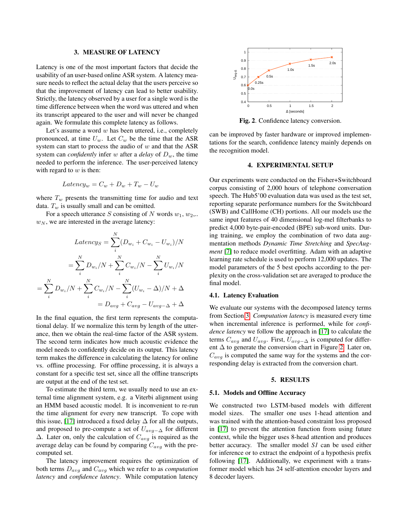### 3. MEASURE OF LATENCY

<span id="page-2-0"></span>Latency is one of the most important factors that decide the usability of an user-based online ASR system. A latency measure needs to reflect the actual delay that the users perceive so that the improvement of latency can lead to better usability. Strictly, the latency observed by a user for a single word is the time difference between when the word was uttered and when its transcript appeared to the user and will never be changed again. We formulate this complete latency as follows.

Let's assume a word  $w$  has been uttered, i.e., completely pronounced, at time  $U_w$ . Let  $C_w$  be the time that the ASR system can start to process the audio of  $w$  and that the ASR system can *confidently* infer w after a *delay* of  $D_w$ , the time needed to perform the inference. The user-perceived latency with regard to  $w$  is then:

$$
Latency_w = C_w + D_w + T_w - U_w
$$

where  $T_w$  presents the transmitting time for audio and text data.  $T_w$  is usually small and can be omitted.

For a speech utterance S consisting of N words  $w_1, w_2, ...$  $w_N$ , we are interested in the average latency:

$$
Latency_S = \sum_{i}^{N} (D_{w_i} + C_{w_i} - U_{w_i})/N
$$

$$
= \sum_{i}^{N} D_{w_i}/N + \sum_{i}^{N} C_{w_i}/N - \sum_{i}^{N} U_{w_i}/N
$$

$$
= \sum_{i}^{N} D_{w_i}/N + \sum_{i}^{N} C_{w_i}/N - \sum_{i}^{N} (U_{w_i} - \Delta)/N + \Delta
$$

$$
= D_{avg} + C_{avg} - U_{avg - \Delta} + \Delta
$$

In the final equation, the first term represents the computational delay. If we normalize this term by length of the utterance, then we obtain the real-time factor of the ASR system. The second term indicates how much acoustic evidence the model needs to confidently decide on its output. This latency term makes the difference in calculating the latency for online vs. offline processing. For offline processing, it is always a constant for a specific test set, since all the offline transcripts are output at the end of the test set.

To estimate the third term, we usually need to use an external time alignment system, e.g. a Viterbi alignment using an HMM based acoustic model. It is inconvenient to re-run the time alignment for every new transcript. To cope with this issue, [\[17\]](#page-4-16) introduced a fixed delay  $\Delta$  for all the outputs, and proposed to pre-compute a set of  $U_{\alpha\nu\rho-\Delta}$  for different  $\Delta$ . Later on, only the calculation of  $C_{avg}$  is required as the average delay can be found by comparing  $C_{avg}$  with the precomputed set.

The latency improvement requires the optimization of both terms  $D_{avg}$  and  $C_{avg}$  which we refer to as *computation latency* and *confidence latency*. While computation latency



<span id="page-2-1"></span>Fig. 2. Confidence latency conversion.

can be improved by faster hardware or improved implementations for the search, confidence latency mainly depends on the recognition model.

# 4. EXPERIMENTAL SETUP

Our experiments were conducted on the Fisher+Switchboard corpus consisting of 2,000 hours of telephone conversation speech. The Hub5'00 evaluation data was used as the test set, reporting separate performance numbers for the Switchboard (SWB) and CallHome (CH) portions. All our models use the same input features of 40 dimensional log-mel filterbanks to predict 4,000 byte-pair-encoded (BPE) sub-word units. During training, we employ the combination of two data augmentation methods *Dynamic Time Stretching* and *SpecAugment* [\[7\]](#page-4-6) to reduce model overfitting. Adam with an adaptive learning rate schedule is used to perform 12,000 updates. The model parameters of the 5 best epochs according to the perplexity on the cross-validation set are averaged to produce the final model.

## 4.1. Latency Evaluation

We evaluate our systems with the decomposed latency terms from Section [3.](#page-2-0) *Computation latency* is measured every time when incremental inference is performed, while for *confidence latency* we follow the approach in [\[17\]](#page-4-16) to calculate the terms  $C_{avg}$  and  $U_{avg}$ . First,  $U_{avg-\Delta}$  is computed for different  $\Delta$  to generate the conversion chart in Figure [2.](#page-2-1) Later on,  $C_{avg}$  is computed the same way for the systems and the corresponding delay is extracted from the conversion chart.

### 5. RESULTS

#### 5.1. Models and Offline Accuracy

We constructed two LSTM-based models with different model sizes. The smaller one uses 1-head attention and was trained with the attention-based constraint loss proposed in [\[17\]](#page-4-16) to prevent the attention function from using future context, while the bigger uses 8-head attention and produces better accuracy. The smaller model *S1* can be used either for inference or to extract the endpoint of a hypothesis prefix following [\[17\]](#page-4-16). Additionally, we experiment with a transformer model which has 24 self-attention encoder layers and 8 decoder layers.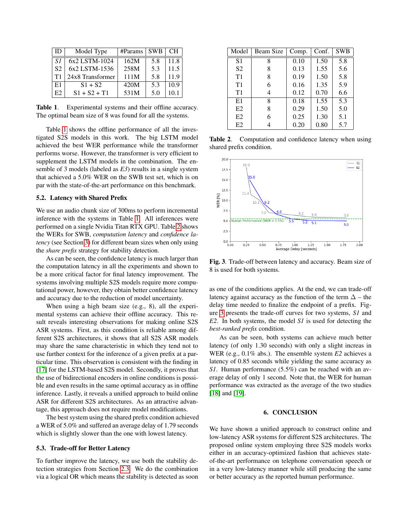| $\mathbf{ID}$ | Model Type       | $\#$ Params | <b>SWB</b> | <b>CH</b> |
|---------------|------------------|-------------|------------|-----------|
| S1            | 6x2 LSTM-1024    | 162M        | 5.8        | 11.8      |
| <b>S2</b>     | 6x2 LSTM-1536    | 258M        | 5.3        | 11.5      |
| T1            | 24x8 Transformer | 111M        | 5.8        | 11.9      |
| E1            | $S1 + S2$        | 420M        | 5.3        | 10.9      |
| E2            | $S1 + S2 + T1$   | 531M        | 5.0        | 10.1      |

<span id="page-3-0"></span>Table 1. Experimental systems and their offline accuracy. The optimal beam size of 8 was found for all the systems.

Table [1](#page-3-0) shows the offline performance of all the investigated S2S models in this work. The big LSTM model achieved the best WER performance while the transformer performs worse. However, the transformer is very efficient to supplement the LSTM models in the combination. The ensemble of 3 models (labeled as *E3*) results in a single system that achieved a 5.0% WER on the SWB test set, which is on par with the state-of-the-art performance on this benchmark.

# 5.2. Latency with Shared Prefix

We use an audio chunk size of 300ms to perform incremental inference with the systems in Table [1.](#page-3-0) All inferences were performed on a single Nvidia Titan RTX GPU. Table [2](#page-3-1) shows the WERs for SWB, *computation latency* and *confidence latency* (see Section [3\)](#page-2-0) for different beam sizes when only using the *share prefix* strategy for stability detection.

As can be seen, the confidence latency is much larger than the computation latency in all the experiments and shown to be a more critical factor for final latency improvement. The systems involving multiple S2S models require more computational power, however, they obtain better confidence latency and accuracy due to the reduction of model uncertainty.

When using a high beam size (e.g., 8), all the experimental systems can achieve their offline accuracy. This result reveals interesting observations for making online S2S ASR systems. First, as this condition is reliable among different S2S architectures, it shows that all S2S ASR models may share the same characteristic in which they tend not to use further context for the inference of a given prefix at a particular time. This observation is consistent with the finding in [\[17\]](#page-4-16) for the LSTM-based S2S model. Secondly, it proves that the use of bidirectional encoders in online conditions is possible and even results in the same optimal accuracy as in offline inference. Lastly, it reveals a unified approach to build online ASR for different S2S architectures. As an attractive advantage, this approach does not require model modifications.

The best system using the shared prefix condition achieved a WER of 5.0% and suffered an average delay of 1.79 seconds which is slightly slower than the one with lowest latency.

# 5.3. Trade-off for Better Latency

To further improve the latency, we use both the stability detection strategies from Section [2.3.](#page-1-1) We do the combination via a logical OR which means the stability is detected as soon

| Model          | Beam Size | Comp. | Conf. | <b>SWB</b> |
|----------------|-----------|-------|-------|------------|
| S <sub>1</sub> | 8         | 0.10  | 1.50  | 5.8        |
| S <sub>2</sub> | 8         | 0.13  | 1.55  | 5.6        |
| T1             | 8         | 0.19  | 1.50  | 5.8        |
| T1             | 6         | 0.16  | 1.35  | 5.9        |
| T1             | 4         | 0.12  | 0.70  | 6.6        |
| E1             | 8         | 0.18  | 1.55  | 5.3        |
| E2             | 8         | 0.29  | 1.50  | 5.0        |
| E2             | 6         | 0.25  | 1.30  | 5.1        |
| E <sub>2</sub> |           | 0.20  | 0.80  | 5.7        |

<span id="page-3-1"></span>Table 2. Computation and confidence latency when using shared prefix condition.



<span id="page-3-2"></span>Fig. 3. Trade-off between latency and accuracy. Beam size of 8 is used for both systems.

as one of the conditions applies. At the end, we can trade-off latency against accuracy as the function of the term  $\Delta$  – the delay time needed to finalize the endpoint of a prefix. Figure [3](#page-3-2) presents the trade-off curves for two systems, *S1* and *E2*. In both systems, the model *S1* is used for detecting the *best-ranked prefix* condition.

As can be seen, both systems can achieve much better latency (of only 1.30 seconds) with only a slight increas in WER (e.g., 0.1% abs.). The ensemble system *E2* achieves a latency of 0.85 seconds while yielding the same accuracy as *S1*. Human performance (5.5%) can be reached with an average delay of only 1 second. Note that, the WER for human performance was extracted as the average of the two studies [\[18\]](#page-4-17) and [\[19\]](#page-4-18).

# 6. CONCLUSION

We have shown a unified approach to construct online and low-latency ASR systems for different S2S architectures. The proposed online system employing three S2S models works either in an accuracy-optimized fashion that achieves stateof-the-art performance on telephone conversation speech or in a very low-latency manner while still producing the same or better accuracy as the reported human performance.